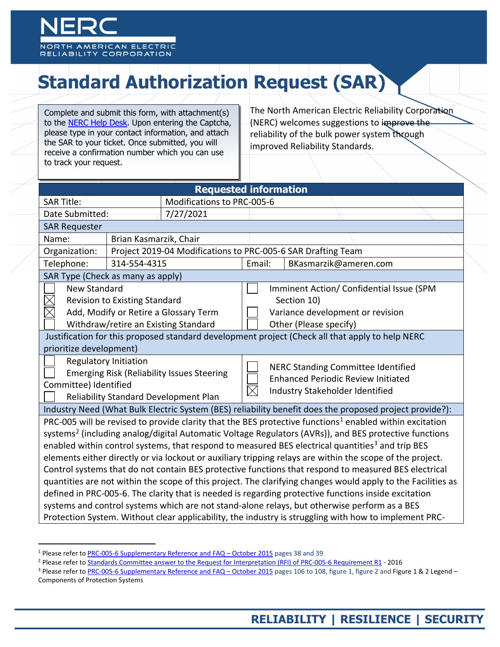

# **Standard Authorization Request (SAR)**

Complete and submit this form, with attachment(s) to the [NERC Help Desk.](https://support.nerc.net/) Upon entering the Captcha, please type in your contact information, and attach the SAR to your ticket. Once submitted, you will receive a confirmation number which you can use to track your request.

The North American Electric Reliability Corporation (NERC) welcomes suggestions to improve the reliability of the bulk power system through improved Reliability Standards.

| <b>Requested information</b>                                                                                                                                                                                                                                                                                                                                                                                                                                                                                                                                                                                                                                                                                                                                                                                                                                                                                                                                                                                   |                                                              |                                      |        |                                                                                                                           |                                                                                                                           |  |
|----------------------------------------------------------------------------------------------------------------------------------------------------------------------------------------------------------------------------------------------------------------------------------------------------------------------------------------------------------------------------------------------------------------------------------------------------------------------------------------------------------------------------------------------------------------------------------------------------------------------------------------------------------------------------------------------------------------------------------------------------------------------------------------------------------------------------------------------------------------------------------------------------------------------------------------------------------------------------------------------------------------|--------------------------------------------------------------|--------------------------------------|--------|---------------------------------------------------------------------------------------------------------------------------|---------------------------------------------------------------------------------------------------------------------------|--|
| SAR Title:<br>Modifications to PRC-005-6                                                                                                                                                                                                                                                                                                                                                                                                                                                                                                                                                                                                                                                                                                                                                                                                                                                                                                                                                                       |                                                              |                                      |        |                                                                                                                           |                                                                                                                           |  |
| Date Submitted:                                                                                                                                                                                                                                                                                                                                                                                                                                                                                                                                                                                                                                                                                                                                                                                                                                                                                                                                                                                                |                                                              | 7/27/2021                            |        |                                                                                                                           |                                                                                                                           |  |
| <b>SAR Requester</b>                                                                                                                                                                                                                                                                                                                                                                                                                                                                                                                                                                                                                                                                                                                                                                                                                                                                                                                                                                                           |                                                              |                                      |        |                                                                                                                           |                                                                                                                           |  |
| Name:<br>Brian Kasmarzik, Chair                                                                                                                                                                                                                                                                                                                                                                                                                                                                                                                                                                                                                                                                                                                                                                                                                                                                                                                                                                                |                                                              |                                      |        |                                                                                                                           |                                                                                                                           |  |
| Organization:                                                                                                                                                                                                                                                                                                                                                                                                                                                                                                                                                                                                                                                                                                                                                                                                                                                                                                                                                                                                  | Project 2019-04 Modifications to PRC-005-6 SAR Drafting Team |                                      |        |                                                                                                                           |                                                                                                                           |  |
| Telephone:                                                                                                                                                                                                                                                                                                                                                                                                                                                                                                                                                                                                                                                                                                                                                                                                                                                                                                                                                                                                     | 314-554-4315                                                 |                                      | Email: |                                                                                                                           | BKasmarzik@ameren.com                                                                                                     |  |
| SAR Type (Check as many as apply)                                                                                                                                                                                                                                                                                                                                                                                                                                                                                                                                                                                                                                                                                                                                                                                                                                                                                                                                                                              |                                                              |                                      |        |                                                                                                                           |                                                                                                                           |  |
| <b>New Standard</b><br><b>Revision to Existing Standard</b><br>Add, Modify or Retire a Glossary Term                                                                                                                                                                                                                                                                                                                                                                                                                                                                                                                                                                                                                                                                                                                                                                                                                                                                                                           |                                                              |                                      |        | Imminent Action/ Confidential Issue (SPM<br>Section 10)<br>Variance development or revision                               |                                                                                                                           |  |
|                                                                                                                                                                                                                                                                                                                                                                                                                                                                                                                                                                                                                                                                                                                                                                                                                                                                                                                                                                                                                |                                                              | Withdraw/retire an Existing Standard |        |                                                                                                                           | Other (Please specify)<br>Justification for this proposed standard development project (Check all that apply to help NERC |  |
| prioritize development)                                                                                                                                                                                                                                                                                                                                                                                                                                                                                                                                                                                                                                                                                                                                                                                                                                                                                                                                                                                        |                                                              |                                      |        |                                                                                                                           |                                                                                                                           |  |
| <b>Regulatory Initiation</b><br><b>Emerging Risk (Reliability Issues Steering</b><br>Committee) Identified<br>Reliability Standard Development Plan                                                                                                                                                                                                                                                                                                                                                                                                                                                                                                                                                                                                                                                                                                                                                                                                                                                            |                                                              |                                      |        | <b>NERC Standing Committee Identified</b><br><b>Enhanced Periodic Review Initiated</b><br>Industry Stakeholder Identified |                                                                                                                           |  |
|                                                                                                                                                                                                                                                                                                                                                                                                                                                                                                                                                                                                                                                                                                                                                                                                                                                                                                                                                                                                                |                                                              |                                      |        |                                                                                                                           | Industry Need (What Bulk Electric System (BES) reliability benefit does the proposed project provide?):                   |  |
| PRC-005 will be revised to provide clarity that the BES protective functions <sup>1</sup> enabled within excitation<br>systems <sup>2</sup> (including analog/digital Automatic Voltage Regulators (AVRs)), and BES protective functions<br>enabled within control systems, that respond to measured BES electrical quantities <sup>3</sup> and trip BES<br>elements either directly or via lockout or auxiliary tripping relays are within the scope of the project.<br>Control systems that do not contain BES protective functions that respond to measured BES electrical<br>quantities are not within the scope of this project. The clarifying changes would apply to the Facilities as<br>defined in PRC-005-6. The clarity that is needed is regarding protective functions inside excitation<br>systems and control systems which are not stand-alone relays, but otherwise perform as a BES<br>Protection System. Without clear applicability, the industry is struggling with how to implement PRC- |                                                              |                                      |        |                                                                                                                           |                                                                                                                           |  |

- <span id="page-0-2"></span><sup>3</sup> Please refer t[o PRC-005-6 Supplementary Reference and FAQ –](https://www.nerc.com/pa/Stand/PRC0056RD/Supplementary_Reference_Rev_2015Oct09_clean.pdf#page=42) October 2015 pages 106 to 108, figure 1, figure 2 and Figure 1 & 2 Legend –
- Components of Protection Systems

<span id="page-0-0"></span> <sup>1</sup> Please refer t[o PRC-005-6 Supplementary Reference and FAQ –](https://www.nerc.com/pa/Stand/PRC0056RD/Supplementary_Reference_Rev_2015Oct09_clean.pdf#page=42) October 2015 pages 38 and 39

<span id="page-0-1"></span><sup>&</sup>lt;sup>2</sup> Please refer to **Standards Committee answer to the Request for Interpretation (RFI) of PRC-005-6 Requirement R1</u> - 2016**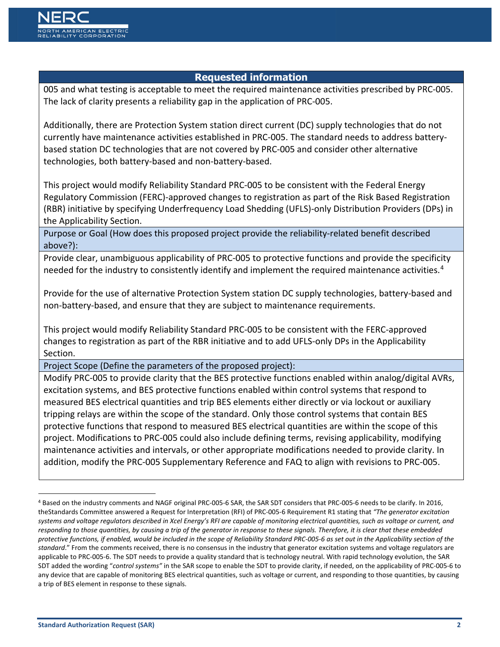005 and what testing is acceptable to meet the required maintenance activities prescribed by PRC-005. The lack of clarity presents a reliability gap in the application of PRC-005.

Additionally, there are Protection System station direct current (DC) supply technologies that do not currently have maintenance activities established in PRC-005. The standard needs to address batterybased station DC technologies that are not covered by PRC-005 and consider other alternative technologies, both battery-based and non-battery-based.

This project would modify Reliability Standard PRC-005 to be consistent with the Federal Energy Regulatory Commission (FERC)-approved changes to registration as part of the Risk Based Registration (RBR) initiative by specifying Underfrequency Load Shedding (UFLS)-only Distribution Providers (DPs) in the Applicability Section.

Purpose or Goal (How does this proposed project provide the reliability-related benefit described above?):

Provide clear, unambiguous applicability of PRC-005 to protective functions and provide the specificity needed for the industry to consistently identify and implement the required maintenance activities.<sup>[4](#page-1-0)</sup>

Provide for the use of alternative Protection System station DC supply technologies, battery-based and non-battery-based, and ensure that they are subject to maintenance requirements.

This project would modify Reliability Standard PRC-005 to be consistent with the FERC-approved changes to registration as part of the RBR initiative and to add UFLS-only DPs in the Applicability Section.

Project Scope (Define the parameters of the proposed project):

Modify PRC-005 to provide clarity that the BES protective functions enabled within analog/digital AVRs, excitation systems, and BES protective functions enabled within control systems that respond to measured BES electrical quantities and trip BES elements either directly or via lockout or auxiliary tripping relays are within the scope of the standard. Only those control systems that contain BES protective functions that respond to measured BES electrical quantities are within the scope of this project. Modifications to PRC-005 could also include defining terms, revising applicability, modifying maintenance activities and intervals, or other appropriate modifications needed to provide clarity. In addition, modify the PRC-005 Supplementary Reference and FAQ to align with revisions to PRC-005.

<span id="page-1-0"></span> <sup>4</sup> Based on the industry comments and NAGF original PRC-005-6 SAR, the SAR SDT considers that PRC-005-6 needs to be clarify. In 2016, theStandards Committee answered a Request for Interpretation (RFI) of PRC-005-6 Requirement R1 stating that *"The generator excitation systems and voltage regulators described in Xcel Energy's RFI are capable of monitoring electrical quantities, such as voltage or current, and responding to those quantities, by causing a trip of the generator in response to these signals. Therefore, it is clear that these embedded protective functions, if enabled, would be included in the scope of Reliability Standard PRC-005-6 as set out in the Applicability section of the standard*." From the comments received, there is no consensus in the industry that generator excitation systems and voltage regulators are applicable to PRC-005-6. The SDT needs to provide a quality standard that is technology neutral. With rapid technology evolution, the SAR SDT added the wording "*control systems"* in the SAR scope to enable the SDT to provide clarity, if needed, on the applicability of PRC-005-6 to any device that are capable of monitoring BES electrical quantities, such as voltage or current, and responding to those quantities, by causing a trip of BES element in response to these signals.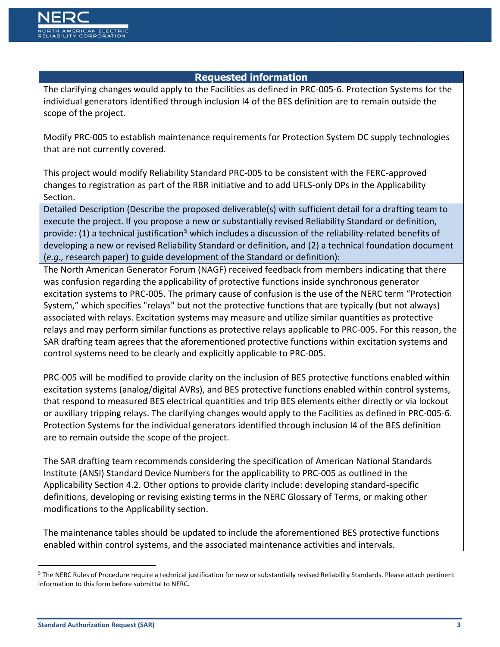The clarifying changes would apply to the Facilities as defined in PRC-005-6. Protection Systems for the individual generators identified through inclusion I4 of the BES definition are to remain outside the scope of the project.

Modify PRC-005 to establish maintenance requirements for Protection System DC supply technologies that are not currently covered.

This project would modify Reliability Standard PRC-005 to be consistent with the FERC-approved changes to registration as part of the RBR initiative and to add UFLS-only DPs in the Applicability Section.

Detailed Description (Describe the proposed deliverable(s) with sufficient detail for a drafting team to execute the project. If you propose a new or substantially revised Reliability Standard or definition, provide: (1) a technical justification<sup>[5](#page-2-0)</sup> which includes a discussion of the reliability-related benefits of developing a new or revised Reliability Standard or definition, and (2) a technical foundation document (*e.g.,* research paper) to guide development of the Standard or definition):

The North American Generator Forum (NAGF) received feedback from members indicating that there was confusion regarding the applicability of protective functions inside synchronous generator excitation systems to PRC-005. The primary cause of confusion is the use of the NERC term "Protection System," which specifies "relays" but not the protective functions that are typically (but not always) associated with relays. Excitation systems may measure and utilize similar quantities as protective relays and may perform similar functions as protective relays applicable to PRC-005. For this reason, the SAR drafting team agrees that the aforementioned protective functions within excitation systems and control systems need to be clearly and explicitly applicable to PRC-005.

PRC-005 will be modified to provide clarity on the inclusion of BES protective functions enabled within excitation systems (analog/digital AVRs), and BES protective functions enabled within control systems, that respond to measured BES electrical quantities and trip BES elements either directly or via lockout or auxiliary tripping relays. The clarifying changes would apply to the Facilities as defined in PRC-005-6. Protection Systems for the individual generators identified through inclusion I4 of the BES definition are to remain outside the scope of the project.

The SAR drafting team recommends considering the specification of American National Standards Institute (ANSI) Standard Device Numbers for the applicability to PRC-005 as outlined in the Applicability Section 4.2. Other options to provide clarity include: developing standard-specific definitions, developing or revising existing terms in the NERC Glossary of Terms, or making other modifications to the Applicability section.

The maintenance tables should be updated to include the aforementioned BES protective functions enabled within control systems, and the associated maintenance activities and intervals.

<span id="page-2-0"></span><sup>&</sup>lt;sup>5</sup> The NERC Rules of Procedure require a technical justification for new or substantially revised Reliability Standards. Please attach pertinent information to this form before submittal to NERC.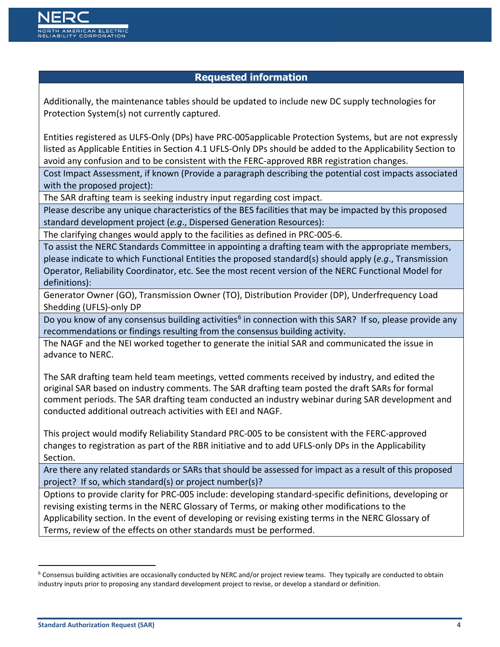Additionally, the maintenance tables should be updated to include new DC supply technologies for Protection System(s) not currently captured.

Entities registered as ULFS-Only (DPs) have PRC-005applicable Protection Systems, but are not expressly listed as Applicable Entities in Section 4.1 UFLS-Only DPs should be added to the Applicability Section to avoid any confusion and to be consistent with the FERC-approved RBR registration changes.

Cost Impact Assessment, if known (Provide a paragraph describing the potential cost impacts associated with the proposed project):

The SAR drafting team is seeking industry input regarding cost impact.

Please describe any unique characteristics of the BES facilities that may be impacted by this proposed standard development project (*e.g*., Dispersed Generation Resources):

The clarifying changes would apply to the facilities as defined in PRC-005-6.

To assist the NERC Standards Committee in appointing a drafting team with the appropriate members, please indicate to which Functional Entities the proposed standard(s) should apply (*e.g*., Transmission Operator, Reliability Coordinator, etc. See the most recent version of the NERC Functional Model for definitions):

Generator Owner (GO), Transmission Owner (TO), Distribution Provider (DP), Underfrequency Load Shedding (UFLS)-only DP

Do you know of any consensus building activities<sup>6</sup> in connection with this SAR? If so, please provide any recommendations or findings resulting from the consensus building activity.

The NAGF and the NEI worked together to generate the initial SAR and communicated the issue in advance to NERC.

The SAR drafting team held team meetings, vetted comments received by industry, and edited the original SAR based on industry comments. The SAR drafting team posted the draft SARs for formal comment periods. The SAR drafting team conducted an industry webinar during SAR development and conducted additional outreach activities with EEI and NAGF.

This project would modify Reliability Standard PRC-005 to be consistent with the FERC-approved changes to registration as part of the RBR initiative and to add UFLS-only DPs in the Applicability Section.

Are there any related standards or SARs that should be assessed for impact as a result of this proposed project? If so, which standard(s) or project number(s)?

Options to provide clarity for PRC-005 include: developing standard-specific definitions, developing or revising existing terms in the NERC Glossary of Terms, or making other modifications to the Applicability section. In the event of developing or revising existing terms in the NERC Glossary of Terms, review of the effects on other standards must be performed.

<span id="page-3-0"></span> $6$  Consensus building activities are occasionally conducted by NERC and/or project review teams. They typically are conducted to obtain industry inputs prior to proposing any standard development project to revise, or develop a standard or definition.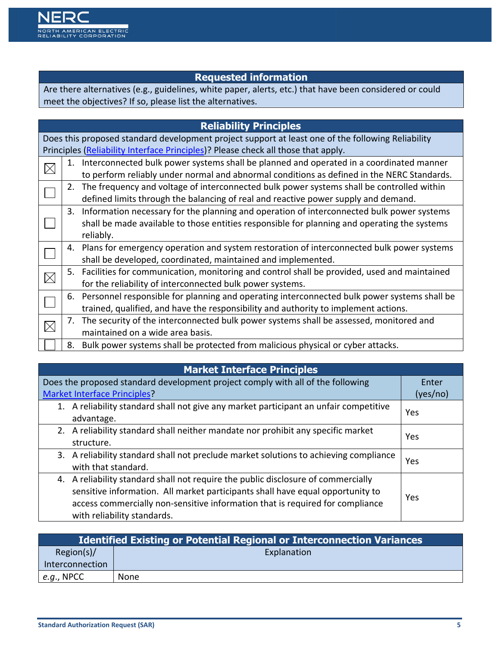Are there alternatives (e.g., guidelines, white paper, alerts, etc.) that have been considered or could meet the objectives? If so, please list the alternatives.

|             |    | <b>Reliability Principles</b>                                                                     |
|-------------|----|---------------------------------------------------------------------------------------------------|
|             |    | Does this proposed standard development project support at least one of the following Reliability |
|             |    | Principles (Reliability Interface Principles)? Please check all those that apply.                 |
| $\boxtimes$ | 1. | Interconnected bulk power systems shall be planned and operated in a coordinated manner           |
|             |    | to perform reliably under normal and abnormal conditions as defined in the NERC Standards.        |
|             |    | The frequency and voltage of interconnected bulk power systems shall be controlled within         |
|             |    | defined limits through the balancing of real and reactive power supply and demand.                |
|             | 3. | Information necessary for the planning and operation of interconnected bulk power systems         |
|             |    | shall be made available to those entities responsible for planning and operating the systems      |
|             |    | reliably.                                                                                         |
|             |    | 4. Plans for emergency operation and system restoration of interconnected bulk power systems      |
|             |    | shall be developed, coordinated, maintained and implemented.                                      |
| $\boxtimes$ |    | 5. Facilities for communication, monitoring and control shall be provided, used and maintained    |
|             |    | for the reliability of interconnected bulk power systems.                                         |
|             |    | 6. Personnel responsible for planning and operating interconnected bulk power systems shall be    |
|             |    | trained, qualified, and have the responsibility and authority to implement actions.               |
|             |    | The security of the interconnected bulk power systems shall be assessed, monitored and            |
|             |    | maintained on a wide area basis.                                                                  |
|             | 8. | Bulk power systems shall be protected from malicious physical or cyber attacks.                   |

### **Market Interface Principles**

| Does the proposed standard development project comply with all of the following                                                                                                                                                                                                     | Enter    |
|-------------------------------------------------------------------------------------------------------------------------------------------------------------------------------------------------------------------------------------------------------------------------------------|----------|
| <b>Market Interface Principles?</b>                                                                                                                                                                                                                                                 | (yes/no) |
| 1. A reliability standard shall not give any market participant an unfair competitive<br>advantage.                                                                                                                                                                                 | Yes      |
| 2. A reliability standard shall neither mandate nor prohibit any specific market<br>structure.                                                                                                                                                                                      | Yes      |
| 3. A reliability standard shall not preclude market solutions to achieving compliance<br>with that standard.                                                                                                                                                                        | Yes      |
| 4. A reliability standard shall not require the public disclosure of commercially<br>sensitive information. All market participants shall have equal opportunity to<br>access commercially non-sensitive information that is required for compliance<br>with reliability standards. | Yes      |

| <b>Identified Existing or Potential Regional or Interconnection Variances</b> |             |  |  |
|-------------------------------------------------------------------------------|-------------|--|--|
| Region(s)/                                                                    | Explanation |  |  |
| Interconnection                                                               |             |  |  |
| e.g., NPCC                                                                    | None        |  |  |